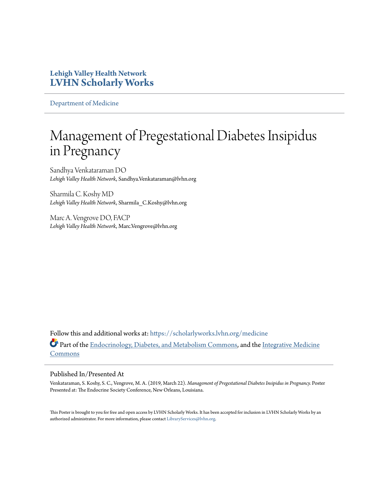## **Lehigh Valley Health Network [LVHN Scholarly Works](https://scholarlyworks.lvhn.org?utm_source=scholarlyworks.lvhn.org%2Fmedicine%2F1658&utm_medium=PDF&utm_campaign=PDFCoverPages)**

[Department of Medicine](https://scholarlyworks.lvhn.org/medicine?utm_source=scholarlyworks.lvhn.org%2Fmedicine%2F1658&utm_medium=PDF&utm_campaign=PDFCoverPages)

## Management of Pregestational Diabetes Insipidus in Pregnancy

Sandhya Venkataraman DO *Lehigh Valley Health Network*, Sandhya.Venkataraman@lvhn.org

Sharmila C. Koshy MD *Lehigh Valley Health Network*, Sharmila\_C.Koshy@lvhn.org

Marc A. Vengrove DO, FACP *Lehigh Valley Health Network*, Marc.Vengrove@lvhn.org

Follow this and additional works at: [https://scholarlyworks.lvhn.org/medicine](https://scholarlyworks.lvhn.org/medicine?utm_source=scholarlyworks.lvhn.org%2Fmedicine%2F1658&utm_medium=PDF&utm_campaign=PDFCoverPages) Part of the [Endocrinology, Diabetes, and Metabolism Commons](http://network.bepress.com/hgg/discipline/686?utm_source=scholarlyworks.lvhn.org%2Fmedicine%2F1658&utm_medium=PDF&utm_campaign=PDFCoverPages), and the [Integrative Medicine](http://network.bepress.com/hgg/discipline/1355?utm_source=scholarlyworks.lvhn.org%2Fmedicine%2F1658&utm_medium=PDF&utm_campaign=PDFCoverPages) [Commons](http://network.bepress.com/hgg/discipline/1355?utm_source=scholarlyworks.lvhn.org%2Fmedicine%2F1658&utm_medium=PDF&utm_campaign=PDFCoverPages)

## Published In/Presented At

Venkataraman, S. Koshy, S. C., Vengrove, M. A. (2019, March 22). *Management of Pregestational Diabetes Insipidus in Pregnancy.* Poster Presented at: The Endocrine Society Conference, New Orleans, Louisiana.

This Poster is brought to you for free and open access by LVHN Scholarly Works. It has been accepted for inclusion in LVHN Scholarly Works by an authorized administrator. For more information, please contact [LibraryServices@lvhn.org.](mailto:LibraryServices@lvhn.org)